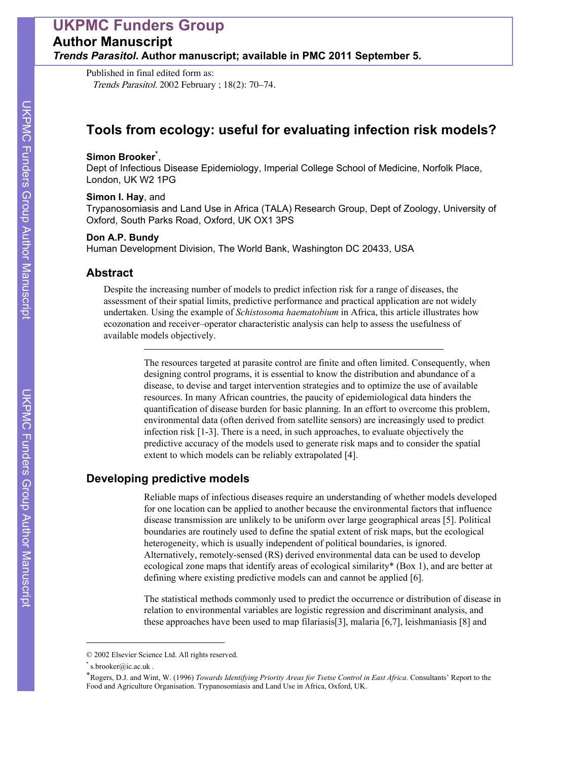# **UKPMC Funders Group Author Manuscript** *Trends Parasitol***. Author manuscript; available in PMC 2011 September 5.**

Published in final edited form as: Trends Parasitol. 2002 February ; 18(2): 70–74.

# **Tools from ecology: useful for evaluating infection risk models?**

## **Simon Brooker**\* ,

Dept of Infectious Disease Epidemiology, Imperial College School of Medicine, Norfolk Place, London, UK W2 1PG

#### **Simon I. Hay**, and

Trypanosomiasis and Land Use in Africa (TALA) Research Group, Dept of Zoology, University of Oxford, South Parks Road, Oxford, UK OX1 3PS

#### **Don A.P. Bundy**

Human Development Division, The World Bank, Washington DC 20433, USA

#### **Abstract**

Despite the increasing number of models to predict infection risk for a range of diseases, the assessment of their spatial limits, predictive performance and practical application are not widely undertaken. Using the example of *Schistosoma haematobium* in Africa, this article illustrates how ecozonation and receiver–operator characteristic analysis can help to assess the usefulness of available models objectively.

> The resources targeted at parasite control are finite and often limited. Consequently, when designing control programs, it is essential to know the distribution and abundance of a disease, to devise and target intervention strategies and to optimize the use of available resources. In many African countries, the paucity of epidemiological data hinders the quantification of disease burden for basic planning. In an effort to overcome this problem, environmental data (often derived from satellite sensors) are increasingly used to predict infection risk [1-3]. There is a need, in such approaches, to evaluate objectively the predictive accuracy of the models used to generate risk maps and to consider the spatial extent to which models can be reliably extrapolated [4].

# **Developing predictive models**

Reliable maps of infectious diseases require an understanding of whether models developed for one location can be applied to another because the environmental factors that influence disease transmission are unlikely to be uniform over large geographical areas [5]. Political boundaries are routinely used to define the spatial extent of risk maps, but the ecological heterogeneity, which is usually independent of political boundaries, is ignored. Alternatively, remotely-sensed (RS) derived environmental data can be used to develop ecological zone maps that identify areas of ecological similarity\* (Box 1), and are better at defining where existing predictive models can and cannot be applied [6].

The statistical methods commonly used to predict the occurrence or distribution of disease in relation to environmental variables are logistic regression and discriminant analysis, and these approaches have been used to map filariasis[3], malaria [6,7], leishmaniasis [8] and

<sup>© 2002</sup> Elsevier Science Ltd. All rights reserved.

<sup>\*</sup> s.brooker@ic.ac.uk .

<sup>\*</sup>Rogers, D.J. and Wint, W. (1996) *Towards Identifying Priority Areas for Tsetse Control in East Africa*. Consultants' Report to the Food and Agriculture Organisation. Trypanosomiasis and Land Use in Africa, Oxford, UK.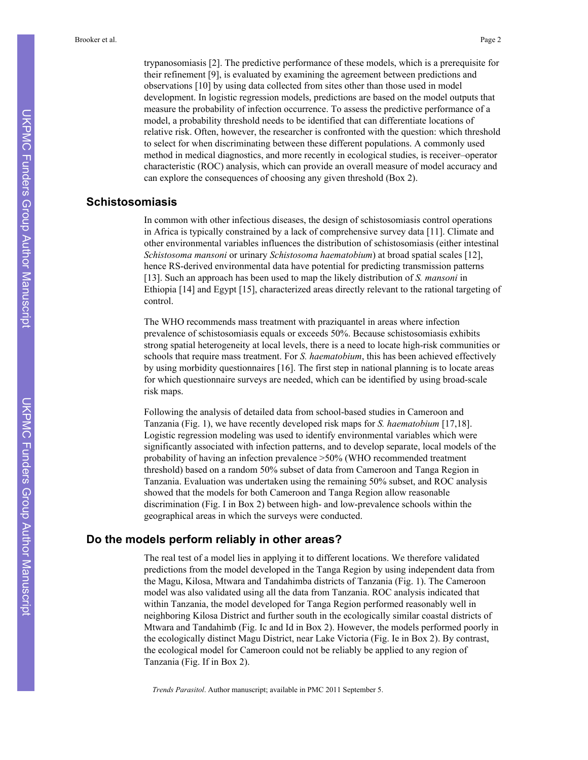trypanosomiasis [2]. The predictive performance of these models, which is a prerequisite for their refinement [9], is evaluated by examining the agreement between predictions and observations [10] by using data collected from sites other than those used in model development. In logistic regression models, predictions are based on the model outputs that measure the probability of infection occurrence. To assess the predictive performance of a model, a probability threshold needs to be identified that can differentiate locations of relative risk. Often, however, the researcher is confronted with the question: which threshold to select for when discriminating between these different populations. A commonly used method in medical diagnostics, and more recently in ecological studies, is receiver–operator characteristic (ROC) analysis, which can provide an overall measure of model accuracy and can explore the consequences of choosing any given threshold (Box 2).

### **Schistosomiasis**

In common with other infectious diseases, the design of schistosomiasis control operations in Africa is typically constrained by a lack of comprehensive survey data [11]. Climate and other environmental variables influences the distribution of schistosomiasis (either intestinal *Schistosoma mansoni* or urinary *Schistosoma haematobium*) at broad spatial scales [12], hence RS-derived environmental data have potential for predicting transmission patterns [13]. Such an approach has been used to map the likely distribution of *S. mansoni* in Ethiopia [14] and Egypt [15], characterized areas directly relevant to the rational targeting of control.

The WHO recommends mass treatment with praziquantel in areas where infection prevalence of schistosomiasis equals or exceeds 50%. Because schistosomiasis exhibits strong spatial heterogeneity at local levels, there is a need to locate high-risk communities or schools that require mass treatment. For *S. haematobium*, this has been achieved effectively by using morbidity questionnaires [16]. The first step in national planning is to locate areas for which questionnaire surveys are needed, which can be identified by using broad-scale risk maps.

Following the analysis of detailed data from school-based studies in Cameroon and Tanzania (Fig. 1), we have recently developed risk maps for *S. haematobium* [17,18]. Logistic regression modeling was used to identify environmental variables which were significantly associated with infection patterns, and to develop separate, local models of the probability of having an infection prevalence >50% (WHO recommended treatment threshold) based on a random 50% subset of data from Cameroon and Tanga Region in Tanzania. Evaluation was undertaken using the remaining 50% subset, and ROC analysis showed that the models for both Cameroon and Tanga Region allow reasonable discrimination (Fig. I in Box 2) between high- and low-prevalence schools within the geographical areas in which the surveys were conducted.

#### **Do the models perform reliably in other areas?**

The real test of a model lies in applying it to different locations. We therefore validated predictions from the model developed in the Tanga Region by using independent data from the Magu, Kilosa, Mtwara and Tandahimba districts of Tanzania (Fig. 1). The Cameroon model was also validated using all the data from Tanzania. ROC analysis indicated that within Tanzania, the model developed for Tanga Region performed reasonably well in neighboring Kilosa District and further south in the ecologically similar coastal districts of Mtwara and Tandahimb (Fig. Ic and Id in Box 2). However, the models performed poorly in the ecologically distinct Magu District, near Lake Victoria (Fig. Ie in Box 2). By contrast, the ecological model for Cameroon could not be reliably be applied to any region of Tanzania (Fig. If in Box 2).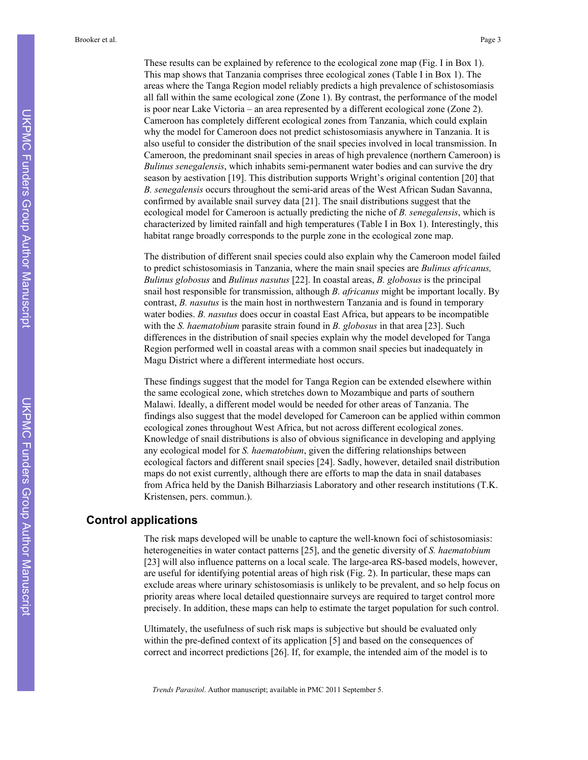These results can be explained by reference to the ecological zone map (Fig. I in Box 1). This map shows that Tanzania comprises three ecological zones (Table I in Box 1). The areas where the Tanga Region model reliably predicts a high prevalence of schistosomiasis all fall within the same ecological zone (Zone 1). By contrast, the performance of the model is poor near Lake Victoria – an area represented by a different ecological zone (Zone 2). Cameroon has completely different ecological zones from Tanzania, which could explain why the model for Cameroon does not predict schistosomiasis anywhere in Tanzania. It is also useful to consider the distribution of the snail species involved in local transmission. In Cameroon, the predominant snail species in areas of high prevalence (northern Cameroon) is *Bulinus senegalensis*, which inhabits semi-permanent water bodies and can survive the dry season by aestivation [19]. This distribution supports Wright's original contention [20] that *B. senegalensis* occurs throughout the semi-arid areas of the West African Sudan Savanna, confirmed by available snail survey data [21]. The snail distributions suggest that the ecological model for Cameroon is actually predicting the niche of *B. senegalensis*, which is characterized by limited rainfall and high temperatures (Table I in Box 1). Interestingly, this habitat range broadly corresponds to the purple zone in the ecological zone map.

The distribution of different snail species could also explain why the Cameroon model failed to predict schistosomiasis in Tanzania, where the main snail species are *Bulinus africanus, Bulinus globosus* and *Bulinus nasutus* [22]. In coastal areas, *B. globosus* is the principal snail host responsible for transmission, although *B. africanus* might be important locally. By contrast, *B. nasutus* is the main host in northwestern Tanzania and is found in temporary water bodies. *B. nasutus* does occur in coastal East Africa, but appears to be incompatible with the *S. haematobium* parasite strain found in *B. globosus* in that area [23]. Such differences in the distribution of snail species explain why the model developed for Tanga Region performed well in coastal areas with a common snail species but inadequately in Magu District where a different intermediate host occurs.

These findings suggest that the model for Tanga Region can be extended elsewhere within the same ecological zone, which stretches down to Mozambique and parts of southern Malawi. Ideally, a different model would be needed for other areas of Tanzania. The findings also suggest that the model developed for Cameroon can be applied within common ecological zones throughout West Africa, but not across different ecological zones. Knowledge of snail distributions is also of obvious significance in developing and applying any ecological model for *S. haematobium*, given the differing relationships between ecological factors and different snail species [24]. Sadly, however, detailed snail distribution maps do not exist currently, although there are efforts to map the data in snail databases from Africa held by the Danish Bilharziasis Laboratory and other research institutions (T.K. Kristensen, pers. commun.).

## **Control applications**

The risk maps developed will be unable to capture the well-known foci of schistosomiasis: heterogeneities in water contact patterns [25], and the genetic diversity of *S. haematobium* [23] will also influence patterns on a local scale. The large-area RS-based models, however, are useful for identifying potential areas of high risk (Fig. 2). In particular, these maps can exclude areas where urinary schistosomiasis is unlikely to be prevalent, and so help focus on priority areas where local detailed questionnaire surveys are required to target control more precisely. In addition, these maps can help to estimate the target population for such control.

Ultimately, the usefulness of such risk maps is subjective but should be evaluated only within the pre-defined context of its application [5] and based on the consequences of correct and incorrect predictions [26]. If, for example, the intended aim of the model is to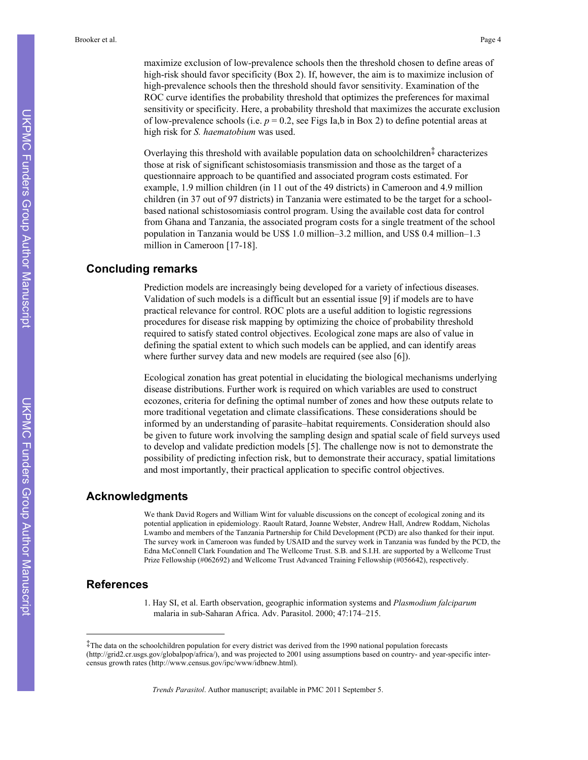maximize exclusion of low-prevalence schools then the threshold chosen to define areas of high-risk should favor specificity (Box 2). If, however, the aim is to maximize inclusion of high-prevalence schools then the threshold should favor sensitivity. Examination of the ROC curve identifies the probability threshold that optimizes the preferences for maximal sensitivity or specificity. Here, a probability threshold that maximizes the accurate exclusion of low-prevalence schools (i.e.  $p = 0.2$ , see Figs Ia,b in Box 2) to define potential areas at high risk for *S. haematobium* was used.

Overlaying this threshold with available population data on schoolchildren‡ characterizes those at risk of significant schistosomiasis transmission and those as the target of a questionnaire approach to be quantified and associated program costs estimated. For example, 1.9 million children (in 11 out of the 49 districts) in Cameroon and 4.9 million children (in 37 out of 97 districts) in Tanzania were estimated to be the target for a schoolbased national schistosomiasis control program. Using the available cost data for control from Ghana and Tanzania, the associated program costs for a single treatment of the school population in Tanzania would be US\$ 1.0 million–3.2 million, and US\$ 0.4 million–1.3 million in Cameroon [17-18].

# **Concluding remarks**

Prediction models are increasingly being developed for a variety of infectious diseases. Validation of such models is a difficult but an essential issue [9] if models are to have practical relevance for control. ROC plots are a useful addition to logistic regressions procedures for disease risk mapping by optimizing the choice of probability threshold required to satisfy stated control objectives. Ecological zone maps are also of value in defining the spatial extent to which such models can be applied, and can identify areas where further survey data and new models are required (see also [6]).

Ecological zonation has great potential in elucidating the biological mechanisms underlying disease distributions. Further work is required on which variables are used to construct ecozones, criteria for defining the optimal number of zones and how these outputs relate to more traditional vegetation and climate classifications. These considerations should be informed by an understanding of parasite–habitat requirements. Consideration should also be given to future work involving the sampling design and spatial scale of field surveys used to develop and validate prediction models [5]. The challenge now is not to demonstrate the possibility of predicting infection risk, but to demonstrate their accuracy, spatial limitations and most importantly, their practical application to specific control objectives.

## **Acknowledgments**

We thank David Rogers and William Wint for valuable discussions on the concept of ecological zoning and its potential application in epidemiology. Raoult Ratard, Joanne Webster, Andrew Hall, Andrew Roddam, Nicholas Lwambo and members of the Tanzania Partnership for Child Development (PCD) are also thanked for their input. The survey work in Cameroon was funded by USAID and the survey work in Tanzania was funded by the PCD, the Edna McConnell Clark Foundation and The Wellcome Trust. S.B. and S.I.H. are supported by a Wellcome Trust Prize Fellowship (#062692) and Wellcome Trust Advanced Training Fellowship (#056642), respectively.

# **References**

1. Hay SI, et al. Earth observation, geographic information systems and *Plasmodium falciparum* malaria in sub-Saharan Africa. Adv. Parasitol. 2000; 47:174–215.

<sup>‡</sup>The data on the schoolchildren population for every district was derived from the 1990 national population forecasts ([http://grid2.cr.usgs.gov/globalpop/africa/\)](http://grid2.cr.usgs.gov/globalpop/africa/), and was projected to 2001 using assumptions based on country- and year-specific intercensus growth rates ([http://www.census.gov/ipc/www/idbnew.html\)](http://www.census.gov/ipc/www/idbnew.html).

*Trends Parasitol*. Author manuscript; available in PMC 2011 September 5.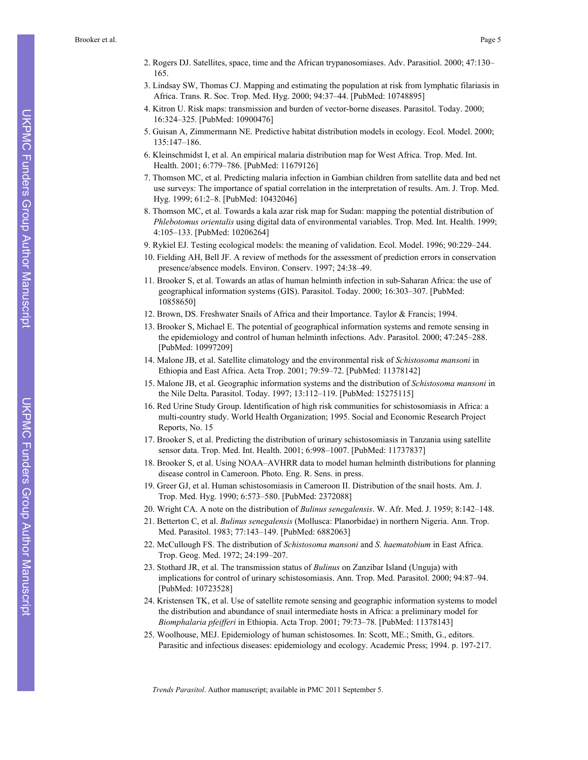- 2. Rogers DJ. Satellites, space, time and the African trypanosomiases. Adv. Parasitiol. 2000; 47:130– 165.
- 3. Lindsay SW, Thomas CJ. Mapping and estimating the population at risk from lymphatic filariasis in Africa. Trans. R. Soc. Trop. Med. Hyg. 2000; 94:37–44. [PubMed: 10748895]
- 4. Kitron U. Risk maps: transmission and burden of vector-borne diseases. Parasitol. Today. 2000; 16:324–325. [PubMed: 10900476]
- 5. Guisan A, Zimmermann NE. Predictive habitat distribution models in ecology. Ecol. Model. 2000; 135:147–186.
- 6. Kleinschmidst I, et al. An empirical malaria distribution map for West Africa. Trop. Med. Int. Health. 2001; 6:779–786. [PubMed: 11679126]
- 7. Thomson MC, et al. Predicting malaria infection in Gambian children from satellite data and bed net use surveys: The importance of spatial correlation in the interpretation of results. Am. J. Trop. Med. Hyg. 1999; 61:2–8. [PubMed: 10432046]
- 8. Thomson MC, et al. Towards a kala azar risk map for Sudan: mapping the potential distribution of *Phlebotomus orientalis* using digital data of environmental variables. Trop. Med. Int. Health. 1999; 4:105–133. [PubMed: 10206264]
- 9. Rykiel EJ. Testing ecological models: the meaning of validation. Ecol. Model. 1996; 90:229–244.
- 10. Fielding AH, Bell JF. A review of methods for the assessment of prediction errors in conservation presence/absence models. Environ. Conserv. 1997; 24:38–49.
- 11. Brooker S, et al. Towards an atlas of human helminth infection in sub-Saharan Africa: the use of geographical information systems (GIS). Parasitol. Today. 2000; 16:303–307. [PubMed: 10858650]
- 12. Brown, DS. Freshwater Snails of Africa and their Importance. Taylor & Francis; 1994.
- 13. Brooker S, Michael E. The potential of geographical information systems and remote sensing in the epidemiology and control of human helminth infections. Adv. Parasitol. 2000; 47:245–288. [PubMed: 10997209]
- 14. Malone JB, et al. Satellite climatology and the environmental risk of *Schistosoma mansoni* in Ethiopia and East Africa. Acta Trop. 2001; 79:59–72. [PubMed: 11378142]
- 15. Malone JB, et al. Geographic information systems and the distribution of *Schistosoma mansoni* in the Nile Delta. Parasitol. Today. 1997; 13:112–119. [PubMed: 15275115]
- 16. Red Urine Study Group. Identification of high risk communities for schistosomiasis in Africa: a multi-country study. World Health Organization; 1995. Social and Economic Research Project Reports, No. 15
- 17. Brooker S, et al. Predicting the distribution of urinary schistosomiasis in Tanzania using satellite sensor data. Trop. Med. Int. Health. 2001; 6:998–1007. [PubMed: 11737837]
- 18. Brooker S, et al. Using NOAA–AVHRR data to model human helminth distributions for planning disease control in Cameroon. Photo. Eng. R. Sens. in press.
- 19. Greer GJ, et al. Human schistosomiasis in Cameroon II. Distribution of the snail hosts. Am. J. Trop. Med. Hyg. 1990; 6:573–580. [PubMed: 2372088]
- 20. Wright CA. A note on the distribution of *Bulinus senegalensis*. W. Afr. Med. J. 1959; 8:142–148.
- 21. Betterton C, et al. *Bulinus senegalensis* (Mollusca: Planorbidae) in northern Nigeria. Ann. Trop. Med. Parasitol. 1983; 77:143–149. [PubMed: 6882063]
- 22. McCullough FS. The distribution of *Schistosoma mansoni* and *S. haematobium* in East Africa. Trop. Geog. Med. 1972; 24:199–207.
- 23. Stothard JR, et al. The transmission status of *Bulinus* on Zanzibar Island (Unguja) with implications for control of urinary schistosomiasis. Ann. Trop. Med. Parasitol. 2000; 94:87–94. [PubMed: 10723528]
- 24. Kristensen TK, et al. Use of satellite remote sensing and geographic information systems to model the distribution and abundance of snail intermediate hosts in Africa: a preliminary model for *Biomphalaria pfeifferi* in Ethiopia. Acta Trop. 2001; 79:73–78. [PubMed: 11378143]
- 25. Woolhouse, MEJ. Epidemiology of human schistosomes. In: Scott, ME.; Smith, G., editors. Parasitic and infectious diseases: epidemiology and ecology. Academic Press; 1994. p. 197-217.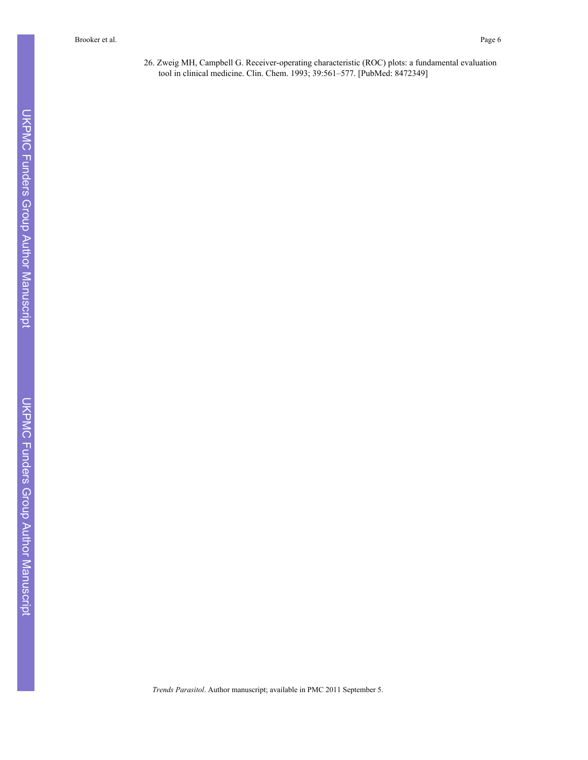26. Zweig MH, Campbell G. Receiver-operating characteristic (ROC) plots: a fundamental evaluation tool in clinical medicine. Clin. Chem. 1993; 39:561–577. [PubMed: 8472349]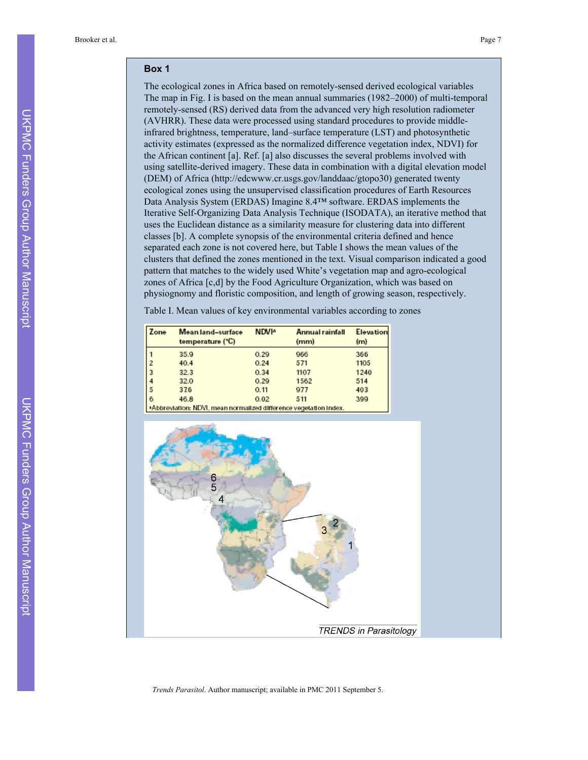# **Box 1**

The ecological zones in Africa based on remotely-sensed derived ecological variables The map in Fig. I is based on the mean annual summaries (1982–2000) of multi-temporal remotely-sensed (RS) derived data from the advanced very high resolution radiometer (AVHRR). These data were processed using standard procedures to provide middleinfrared brightness, temperature, land–surface temperature (LST) and photosynthetic activity estimates (expressed as the normalized difference vegetation index, NDVI) for the African continent [a]. Ref. [a] also discusses the several problems involved with using satellite-derived imagery. These data in combination with a digital elevation model (DEM) of Africa ([http://edcwww.cr.usgs.gov/landdaac/gtopo30\)](http://edcwww.cr.usgs.gov/landdaac/gtopo30) generated twenty ecological zones using the unsupervised classification procedures of Earth Resources Data Analysis System (ERDAS) Imagine 8.4™ software. ERDAS implements the Iterative Self-Organizing Data Analysis Technique (ISODATA), an iterative method that uses the Euclidean distance as a similarity measure for clustering data into different classes [b]. A complete synopsis of the environmental criteria defined and hence separated each zone is not covered here, but Table I shows the mean values of the clusters that defined the zones mentioned in the text. Visual comparison indicated a good pattern that matches to the widely used White's vegetation map and agro-ecological zones of Africa [c,d] by the Food Agriculture Organization, which was based on physiognomy and floristic composition, and length of growing season, respectively.

Table I. Mean values of key environmental variables according to zones

| Zone                                                              | Mean land-surface<br>temperature (°C) | <b>NDVI<sup>o</sup></b> | Annual rainfall<br>(mm) | Elevation<br>(m) |
|-------------------------------------------------------------------|---------------------------------------|-------------------------|-------------------------|------------------|
|                                                                   | 35.9                                  | 0.29                    | 966                     | 366              |
|                                                                   | 40.4                                  | 0.24                    | 571                     | 1105             |
| 3                                                                 | 32.3                                  | 0.34                    | 1107                    | 1240             |
|                                                                   | 32.0                                  | 0.29                    | 1562                    | 514              |
| 5                                                                 | 37.6                                  | 0.11                    | 977                     | 403              |
| 6                                                                 | 46.8                                  | 0.02                    | 511                     | 399              |
| .Abbreviation: NDVI, mean normalized difference vegetation index. |                                       |                         |                         |                  |

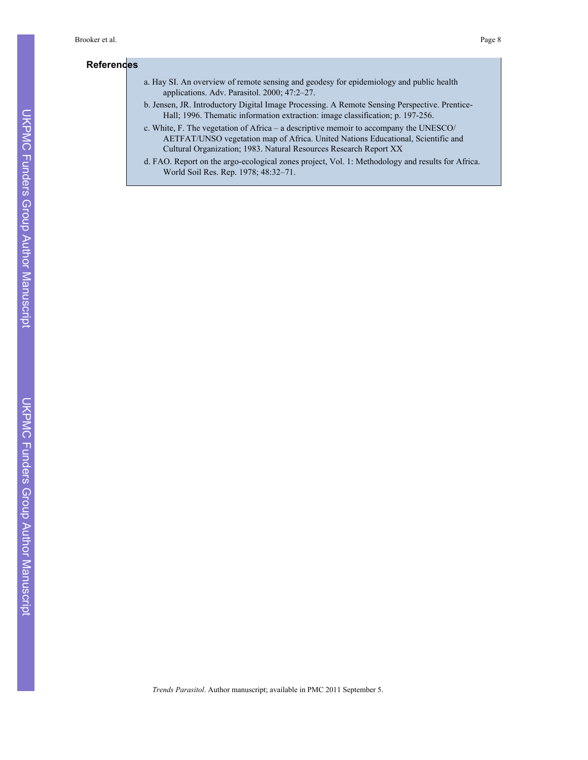# **References**

- a. Hay SI. An overview of remote sensing and geodesy for epidemiology and public health applications. Adv. Parasitol. 2000; 47:2–27.
- b. Jensen, JR. Introductory Digital Image Processing. A Remote Sensing Perspective. Prentice-Hall; 1996. Thematic information extraction: image classification; p. 197-256.
- c. White, F. The vegetation of Africa a descriptive memoir to accompany the UNESCO/ AETFAT/UNSO vegetation map of Africa. United Nations Educational, Scientific and Cultural Organization; 1983. Natural Resources Research Report XX
- d. FAO. Report on the argo-ecological zones project, Vol. 1: Methodology and results for Africa. World Soil Res. Rep. 1978; 48:32–71.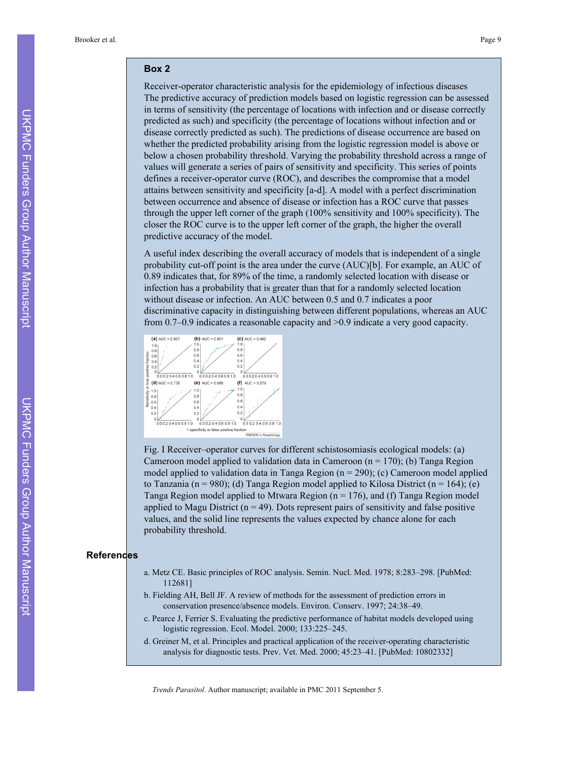#### **Box 2**

Receiver-operator characteristic analysis for the epidemiology of infectious diseases The predictive accuracy of prediction models based on logistic regression can be assessed in terms of sensitivity (the percentage of locations with infection and or disease correctly predicted as such) and specificity (the percentage of locations without infection and or disease correctly predicted as such). The predictions of disease occurrence are based on whether the predicted probability arising from the logistic regression model is above or below a chosen probability threshold. Varying the probability threshold across a range of values will generate a series of pairs of sensitivity and specificity. This series of points defines a receiver-operator curve (ROC), and describes the compromise that a model attains between sensitivity and specificity [a-d]. A model with a perfect discrimination between occurrence and absence of disease or infection has a ROC curve that passes through the upper left corner of the graph (100% sensitivity and 100% specificity). The closer the ROC curve is to the upper left corner of the graph, the higher the overall predictive accuracy of the model.

A useful index describing the overall accuracy of models that is independent of a single probability cut-off point is the area under the curve (AUC)[b]. For example, an AUC of 0.89 indicates that, for 89% of the time, a randomly selected location with disease or infection has a probability that is greater than that for a randomly selected location without disease or infection. An AUC between 0.5 and 0.7 indicates a poor discriminative capacity in distinguishing between different populations, whereas an AUC from 0.7–0.9 indicates a reasonable capacity and >0.9 indicate a very good capacity.



Fig. I Receiver–operator curves for different schistosomiasis ecological models: (a) Cameroon model applied to validation data in Cameroon ( $n = 170$ ); (b) Tanga Region model applied to validation data in Tanga Region  $(n = 290)$ ; (c) Cameroon model applied to Tanzania (n = 980); (d) Tanga Region model applied to Kilosa District (n = 164); (e) Tanga Region model applied to Mtwara Region ( $n = 176$ ), and (f) Tanga Region model applied to Magu District ( $n = 49$ ). Dots represent pairs of sensitivity and false positive values, and the solid line represents the values expected by chance alone for each probability threshold.

#### **References**

- a. Metz CE. Basic principles of ROC analysis. Semin. Nucl. Med. 1978; 8:283–298. [PubMed: 112681]
- b. Fielding AH, Bell JF. A review of methods for the assessment of prediction errors in conservation presence/absence models. Environ. Conserv. 1997; 24:38–49.
- c. Pearce J, Ferrier S. Evaluating the predictive performance of habitat models developed using logistic regression. Ecol. Model. 2000; 133:225–245.
- d. Greiner M, et al. Principles and practical application of the receiver-operating characteristic analysis for diagnostic tests. Prev. Vet. Med. 2000; 45:23–41. [PubMed: 10802332]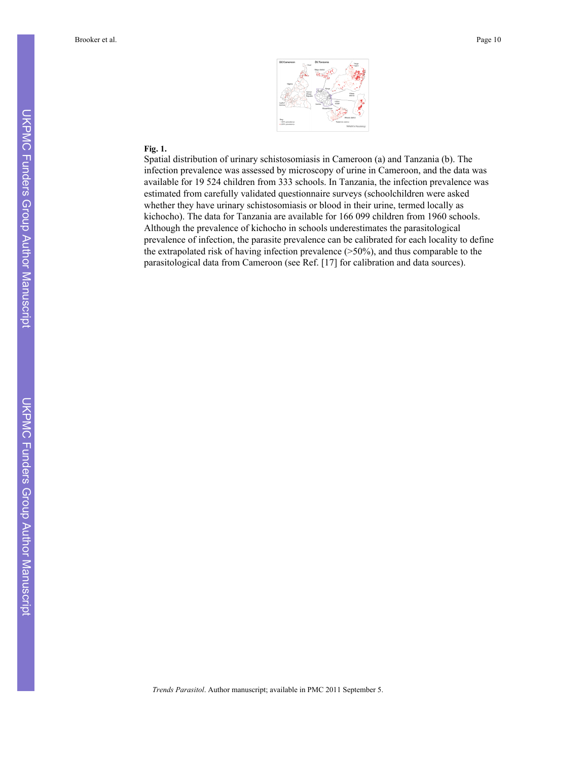

#### **Fig. 1.**

Spatial distribution of urinary schistosomiasis in Cameroon (a) and Tanzania (b). The infection prevalence was assessed by microscopy of urine in Cameroon, and the data was available for 19 524 children from 333 schools. In Tanzania, the infection prevalence was estimated from carefully validated questionnaire surveys (schoolchildren were asked whether they have urinary schistosomiasis or blood in their urine, termed locally as kichocho). The data for Tanzania are available for 166 099 children from 1960 schools. Although the prevalence of kichocho in schools underestimates the parasitological prevalence of infection, the parasite prevalence can be calibrated for each locality to define the extrapolated risk of having infection prevalence (>50%), and thus comparable to the parasitological data from Cameroon (see Ref. [17] for calibration and data sources).